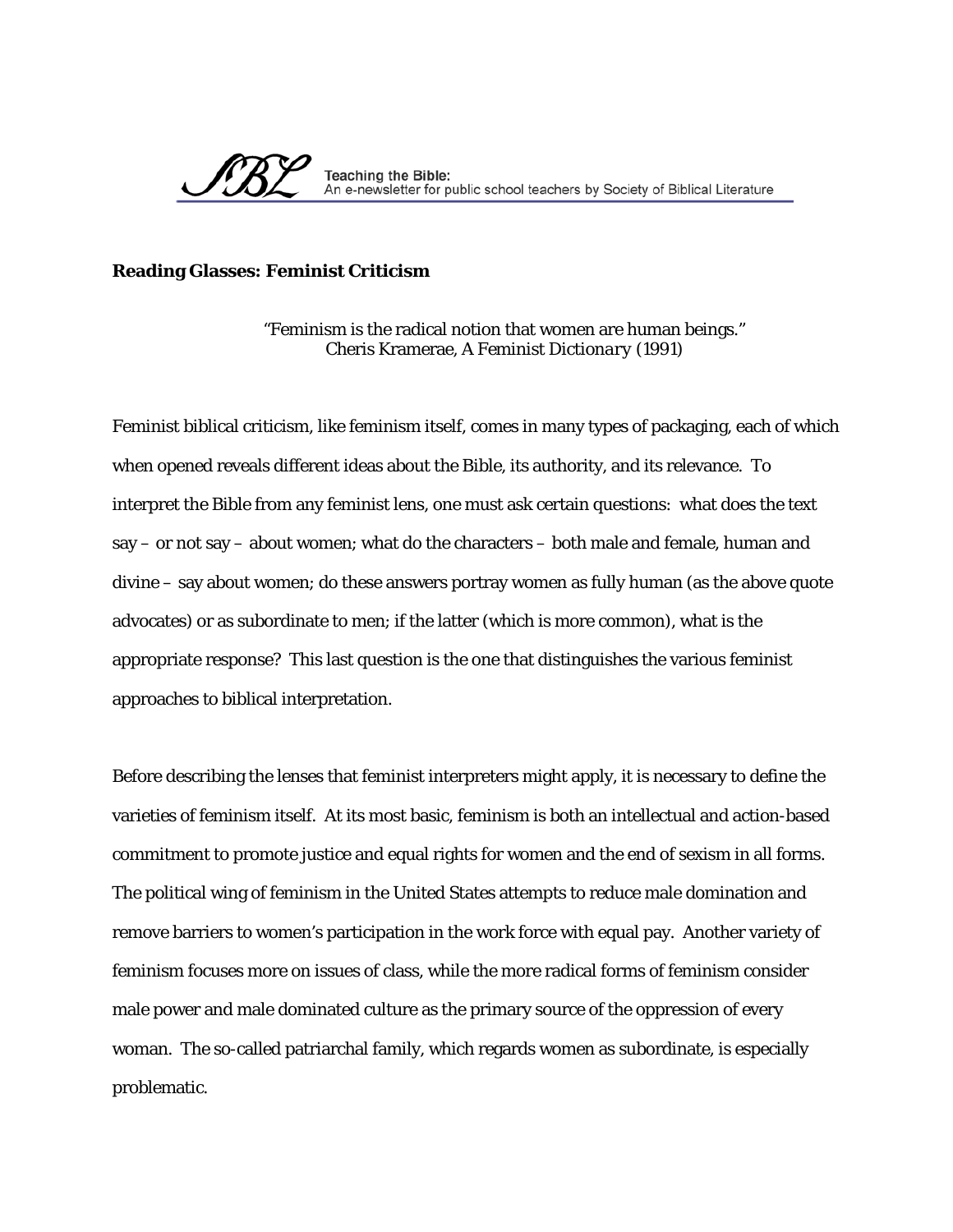

## **Reading Glasses: Feminist Criticism**

"Feminism is the radical notion that women are human beings." Cheris Kramerae, *A Feminist Dictionary* (1991)

Feminist biblical criticism, like feminism itself, comes in many types of packaging, each of which when opened reveals different ideas about the Bible, its authority, and its relevance. To interpret the Bible from any feminist lens, one must ask certain questions: what does the text say – or not say – about women; what do the characters – both male and female, human and divine – say about women; do these answers portray women as fully human (as the above quote advocates) or as subordinate to men; if the latter (which is more common), what is the appropriate response? This last question is the one that distinguishes the various feminist approaches to biblical interpretation.

Before describing the lenses that feminist interpreters might apply, it is necessary to define the varieties of feminism itself. At its most basic, feminism is both an intellectual and action-based commitment to promote justice and equal rights for women and the end of sexism in all forms. The political wing of feminism in the United States attempts to reduce male domination and remove barriers to women's participation in the work force with equal pay. Another variety of feminism focuses more on issues of class, while the more radical forms of feminism consider male power and male dominated culture as the primary source of the oppression of every woman. The so-called patriarchal family, which regards women as subordinate, is especially problematic.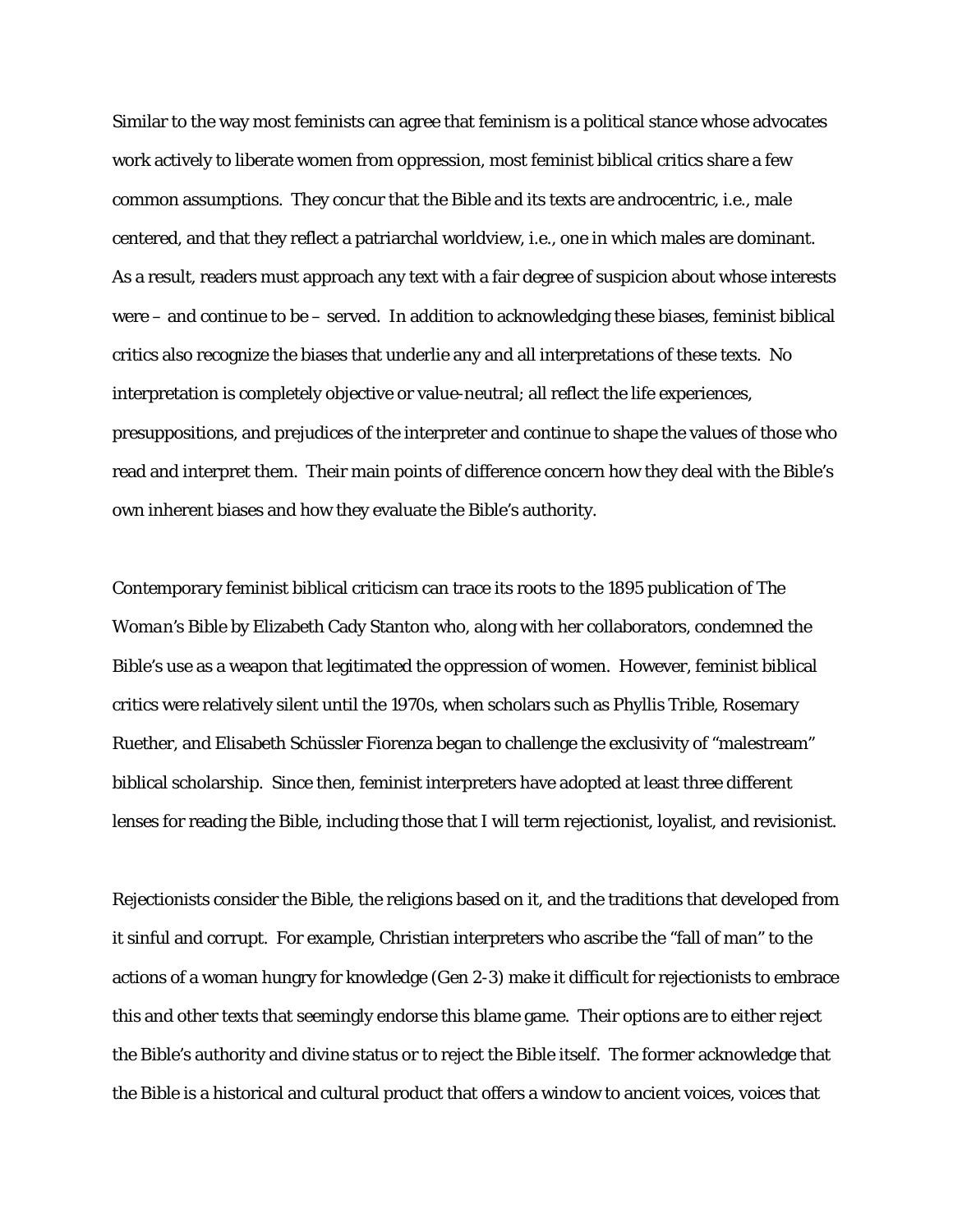Similar to the way most feminists can agree that feminism is a political stance whose advocates work actively to liberate women from oppression, most feminist biblical critics share a few common assumptions. They concur that the Bible and its texts are androcentric, i.e., male centered, and that they reflect a patriarchal worldview, i.e., one in which males are dominant. As a result, readers must approach any text with a fair degree of suspicion about whose interests were – and continue to be – served. In addition to acknowledging these biases, feminist biblical critics also recognize the biases that underlie any and all interpretations of these texts. No interpretation is completely objective or value-neutral; all reflect the life experiences, presuppositions, and prejudices of the interpreter and continue to shape the values of those who read and interpret them. Their main points of difference concern how they deal with the Bible's own inherent biases and how they evaluate the Bible's authority.

Contemporary feminist biblical criticism can trace its roots to the 1895 publication of *The Woman's Bible* by Elizabeth Cady Stanton who, along with her collaborators, condemned the Bible's use as a weapon that legitimated the oppression of women. However, feminist biblical critics were relatively silent until the 1970s, when scholars such as Phyllis Trible, Rosemary Ruether, and Elisabeth Schüssler Fiorenza began to challenge the exclusivity of "malestream" biblical scholarship. Since then, feminist interpreters have adopted at least three different lenses for reading the Bible, including those that I will term rejectionist, loyalist, and revisionist.

Rejectionists consider the Bible, the religions based on it, and the traditions that developed from it sinful and corrupt. For example, Christian interpreters who ascribe the "fall of man" to the actions of a woman hungry for knowledge (Gen 2-3) make it difficult for rejectionists to embrace this and other texts that seemingly endorse this blame game. Their options are to either reject the Bible's authority and divine status or to reject the Bible itself. The former acknowledge that the Bible is a historical and cultural product that offers a window to ancient voices, voices that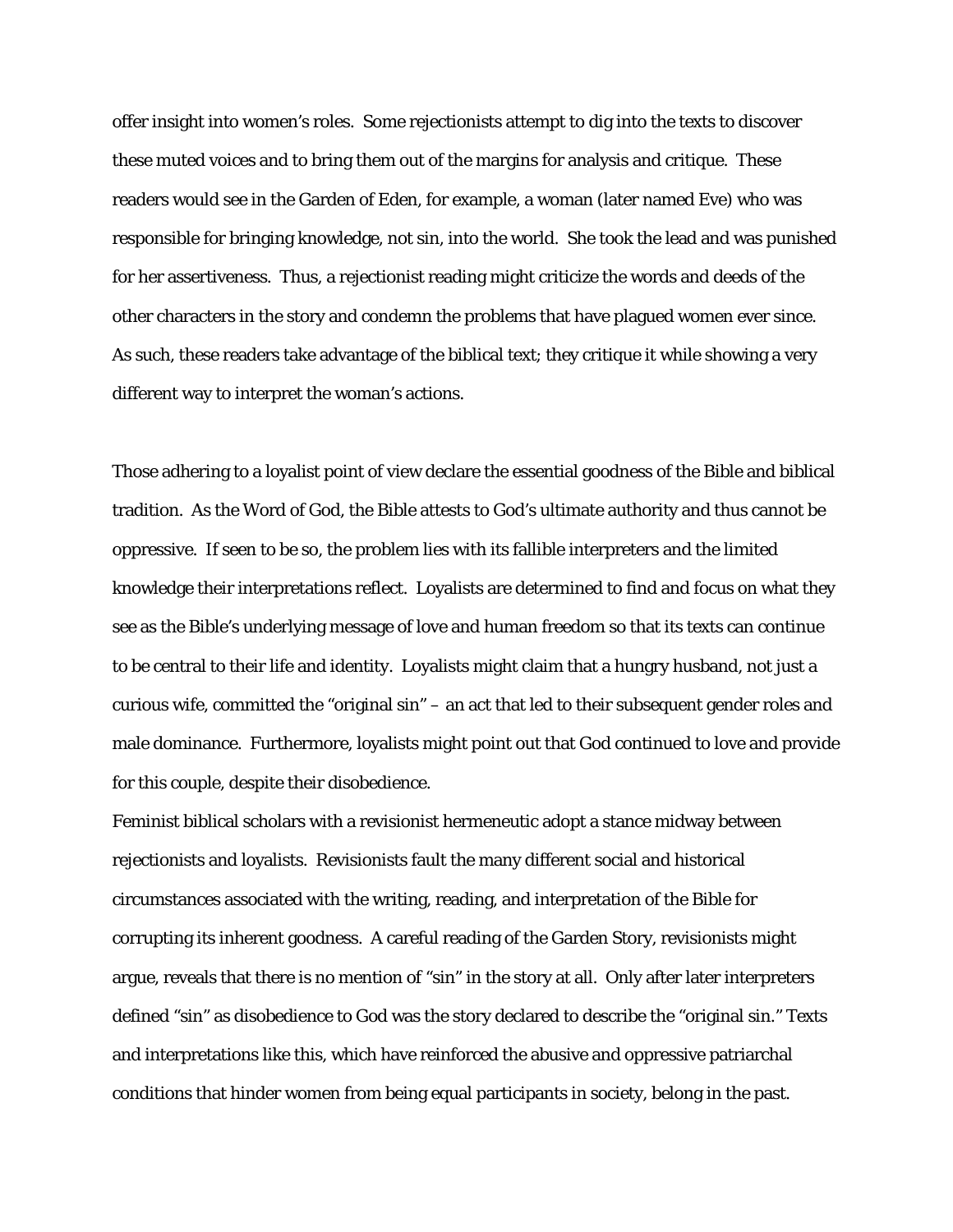offer insight into women's roles. Some rejectionists attempt to dig into the texts to discover these muted voices and to bring them out of the margins for analysis and critique. These readers would see in the Garden of Eden, for example, a woman (later named Eve) who was responsible for bringing knowledge, not sin, into the world. She took the lead and was punished for her assertiveness. Thus, a rejectionist reading might criticize the words and deeds of the other characters in the story and condemn the problems that have plagued women ever since. As such, these readers take advantage of the biblical text; they critique it while showing a very different way to interpret the woman's actions.

Those adhering to a loyalist point of view declare the essential goodness of the Bible and biblical tradition. As the Word of God, the Bible attests to God's ultimate authority and thus cannot be oppressive. If seen to be so, the problem lies with its fallible interpreters and the limited knowledge their interpretations reflect. Loyalists are determined to find and focus on what they see as the Bible's underlying message of love and human freedom so that its texts can continue to be central to their life and identity. Loyalists might claim that a hungry husband, not just a curious wife, committed the "original sin" – an act that led to their subsequent gender roles and male dominance. Furthermore, loyalists might point out that God continued to love and provide for this couple, despite their disobedience.

Feminist biblical scholars with a revisionist hermeneutic adopt a stance midway between rejectionists and loyalists. Revisionists fault the many different social and historical circumstances associated with the writing, reading, and interpretation of the Bible for corrupting its inherent goodness. A careful reading of the Garden Story, revisionists might argue, reveals that there is no mention of "sin" in the story at all. Only after later interpreters defined "sin" as disobedience to God was the story declared to describe the "original sin." Texts and interpretations like this, which have reinforced the abusive and oppressive patriarchal conditions that hinder women from being equal participants in society, belong in the past.